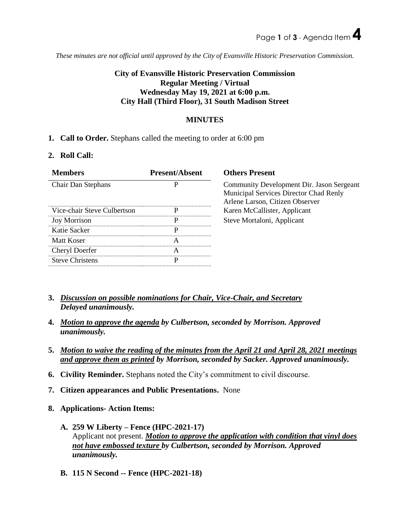*These minutes are not official until approved by the City of Evansville Historic Preservation Commission.*

# **City of Evansville Historic Preservation Commission Regular Meeting / Virtual Wednesday May 19, 2021 at 6:00 p.m. City Hall (Third Floor), 31 South Madison Street**

# **MINUTES**

# **1. Call to Order.** Stephans called the meeting to order at 6:00 pm

### **2. Roll Call:**

| <b>Members</b>              | <b>Present/Absent</b> | <b>Others Present</b>                                                                                                  |
|-----------------------------|-----------------------|------------------------------------------------------------------------------------------------------------------------|
| <b>Chair Dan Stephans</b>   | P                     | Community Development Dir. Jason Sergeant<br>Municipal Services Director Chad Renly<br>Arlene Larson, Citizen Observer |
| Vice-chair Steve Culbertson | D                     | Karen McCallister, Applicant                                                                                           |
| <b>Joy Morrison</b>         | р                     | Steve Mortaloni, Applicant                                                                                             |
| Katie Sacker                | P                     |                                                                                                                        |
| Matt Koser                  | А                     |                                                                                                                        |
| Cheryl Doerfer              | А                     |                                                                                                                        |
| <b>Steve Christens</b>      | D                     |                                                                                                                        |
|                             |                       |                                                                                                                        |

- **3.** *Discussion on possible nominations for Chair, Vice-Chair, and Secretary Delayed unanimously.*
- **4.** *Motion to approve the agenda by Culbertson, seconded by Morrison. Approved unanimously.*
- **5.** *Motion to waive the reading of the minutes from the April 21 and April 28, 2021 meetings and approve them as printed by Morrison, seconded by Sacker. Approved unanimously.*
- **6. Civility Reminder.** Stephans noted the City's commitment to civil discourse.
- **7. Citizen appearances and Public Presentations.** None
- **8. Applications- Action Items:**
	- **A. 259 W Liberty – Fence (HPC-2021-17)** Applicant not present. *Motion to approve the application with condition that vinyl does not have embossed texture by Culbertson, seconded by Morrison. Approved unanimously.*
	- **B. 115 N Second -- Fence (HPC-2021-18)**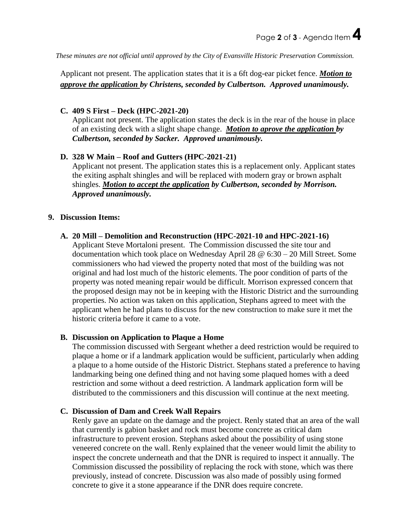*These minutes are not official until approved by the City of Evansville Historic Preservation Commission.*

Applicant not present. The application states that it is a 6ft dog-ear picket fence. *Motion to approve the application by Christens, seconded by Culbertson. Approved unanimously.*

# **C. 409 S First – Deck (HPC-2021-20)**

Applicant not present. The application states the deck is in the rear of the house in place of an existing deck with a slight shape change. *Motion to aprove the application by Culbertson, seconded by Sacker. Approved unanimously.*

### **D. 328 W Main – Roof and Gutters (HPC-2021-21)**

Applicant not present. The application states this is a replacement only. Applicant states the exiting asphalt shingles and will be replaced with modern gray or brown asphalt shingles. *Motion to accept the application by Culbertson, seconded by Morrison. Approved unanimously.*

# **9. Discussion Items:**

### **A. 20 Mill – Demolition and Reconstruction (HPC-2021-10 and HPC-2021-16)**

Applicant Steve Mortaloni present. The Commission discussed the site tour and documentation which took place on Wednesday April 28 @ 6:30 – 20 Mill Street. Some commissioners who had viewed the property noted that most of the building was not original and had lost much of the historic elements. The poor condition of parts of the property was noted meaning repair would be difficult. Morrison expressed concern that the proposed design may not be in keeping with the Historic District and the surrounding properties. No action was taken on this application, Stephans agreed to meet with the applicant when he had plans to discuss for the new construction to make sure it met the historic criteria before it came to a vote.

### **B. Discussion on Application to Plaque a Home**

The commission discussed with Sergeant whether a deed restriction would be required to plaque a home or if a landmark application would be sufficient, particularly when adding a plaque to a home outside of the Historic District. Stephans stated a preference to having landmarking being one defined thing and not having some plaqued homes with a deed restriction and some without a deed restriction. A landmark application form will be distributed to the commissioners and this discussion will continue at the next meeting.

### **C. Discussion of Dam and Creek Wall Repairs**

Renly gave an update on the damage and the project. Renly stated that an area of the wall that currently is gabion basket and rock must become concrete as critical dam infrastructure to prevent erosion. Stephans asked about the possibility of using stone veneered concrete on the wall. Renly explained that the veneer would limit the ability to inspect the concrete underneath and that the DNR is required to inspect it annually. The Commission discussed the possibility of replacing the rock with stone, which was there previously, instead of concrete. Discussion was also made of possibly using formed concrete to give it a stone appearance if the DNR does require concrete.